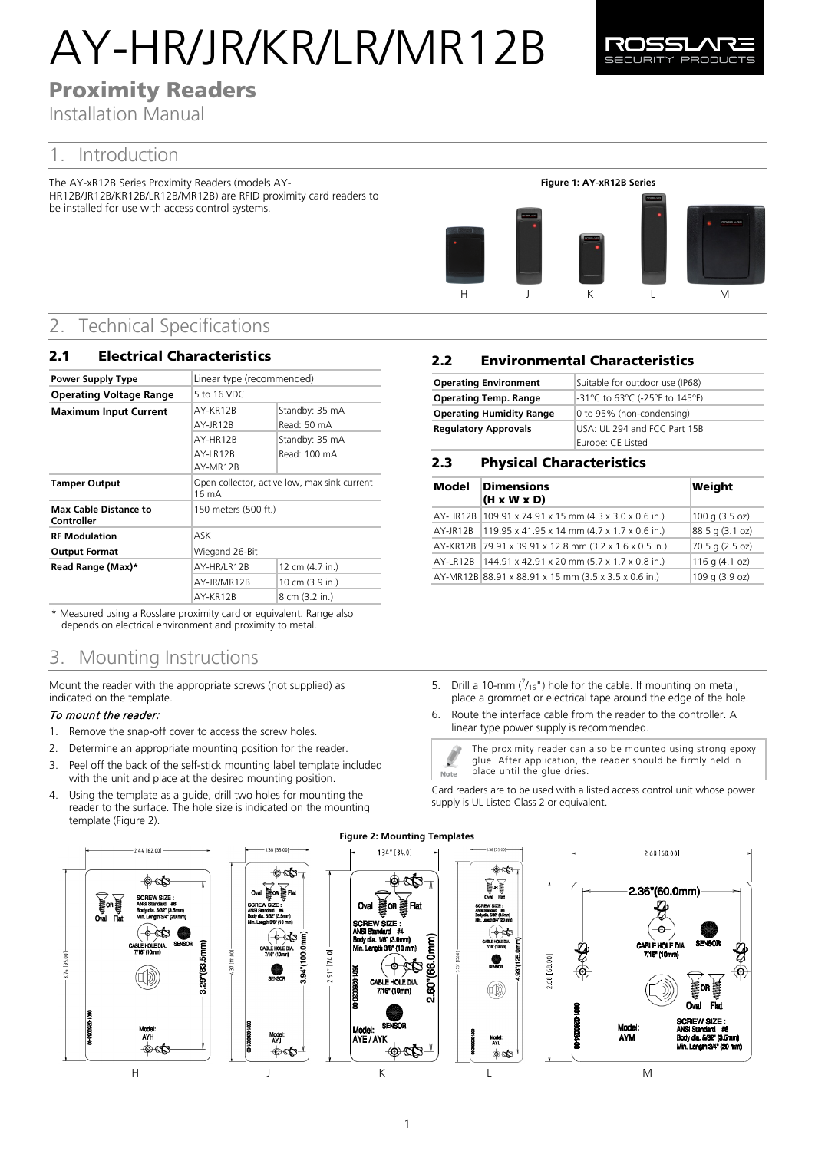# AY-HR/JR/KR/LR/MR12B



# Proximity Readers

Installation Manual

## 1. Introduction

The AY-xR12B Series Proximity Readers (models AY-HR12B/JR12B/KR12B/LR12B/MR12B) are RFID proximity card readers to be installed for use with access control systems.



## 2. Technical Specifications

| <b>Electrical Characteristics</b><br>2.1   |                                                                 |                                |
|--------------------------------------------|-----------------------------------------------------------------|--------------------------------|
| <b>Power Supply Type</b>                   | Linear type (recommended)                                       |                                |
| <b>Operating Voltage Range</b>             | 5 to 16 VDC                                                     |                                |
| <b>Maximum Input Current</b>               | AY-KR12B<br>AY-JR12B                                            | Standby: 35 mA<br>Read: 50 mA  |
|                                            | AY-HR12B<br>AY-LR12B                                            | Standby: 35 mA<br>Read: 100 mA |
|                                            | AY-MR12B                                                        |                                |
| <b>Tamper Output</b>                       | Open collector, active low, max sink current<br>$16 \text{ mA}$ |                                |
| <b>Max Cable Distance to</b><br>Controller | 150 meters (500 ft.)                                            |                                |
| <b>RF Modulation</b>                       | ASK                                                             |                                |
| <b>Output Format</b>                       | Wiegand 26-Bit                                                  |                                |
| Read Range (Max)*                          | AY-HR/LR12B                                                     | 12 cm (4.7 in.)                |
|                                            | AY-JR/MR12B                                                     | 10 cm (3.9 in.)                |
|                                            | AY-KR12B                                                        | 8 cm (3.2 in.)                 |

\* Measured using a Rosslare proximity card or equivalent. Range also depends on electrical environment and proximity to metal.

## 3. Mounting Instructions

Mount the reader with the appropriate screws (not supplied) as indicated on the template.

## To mount the reader:

- 1. Remove the snap-off cover to access the screw holes.
- 2. Determine an appropriate mounting position for the reader.
- 3. Peel off the back of the self-stick mounting label template included with the unit and place at the desired mounting position.
- 4. Using the template as a guide, drill two holes for mounting the reader to the surface. The hole size is indicated on the mounting template [\(Figure 2\).](#page-0-0)

<span id="page-0-0"></span>



#### $1.34$ "  $[34.0]$

w

—φ⊢ ≪ ౙ

 $\circ$ 

Flat

mm<br>M

ė,

## 2.2 Environmental Characteristics

| <b>Operating Environment</b>    | Suitable for outdoor use (IP68) |
|---------------------------------|---------------------------------|
| <b>Operating Temp. Range</b>    | -31°C to 63°C (-25°F to 145°F)  |
| <b>Operating Humidity Range</b> | 0 to 95% (non-condensing)       |
| <b>Regulatory Approvals</b>     | USA: UL 294 and FCC Part 15B    |
|                                 | Europe: CE Listed               |

## 2.3 Physical Characteristics

| Model | <b>Dimensions</b><br>$(H \times W \times D)$            | Weight          |
|-------|---------------------------------------------------------|-----------------|
|       | AY-HR12B 109.91 x 74.91 x 15 mm (4.3 x 3.0 x 0.6 in.)   | 100 g (3.5 oz)  |
|       | AY-JR12B 119.95 x 41.95 x 14 mm (4.7 x 1.7 x 0.6 in.)   | 88.5 g (3.1 oz) |
|       | AY-KR12B 79.91 x 39.91 x 12.8 mm (3.2 x 1.6 x 0.5 in.)  | 70.5 g (2.5 oz) |
|       | AY-LR12B   144.91 x 42.91 x 20 mm (5.7 x 1.7 x 0.8 in.) | 116 g (4.1 oz)  |
|       | AY-MR12B 88.91 x 88.91 x 15 mm (3.5 x 3.5 x 0.6 in.)    | 109 g (3.9 oz)  |

- 5. Drill a 10-mm  $\binom{7}{16}$ ") hole for the cable. If mounting on metal, place a grommet or electrical tape around the edge of the hole.
- 6. Route the interface cable from the reader to the controller. A linear type power supply is recommended.

The proximity reader can also be mounted using strong epoxy glue. After application, the reader should be firmly held in place until the glue dries. Note

Card readers are to be used with a listed access control unit whose power supply is UL Listed Class 2 or equivalent.



 $\circ$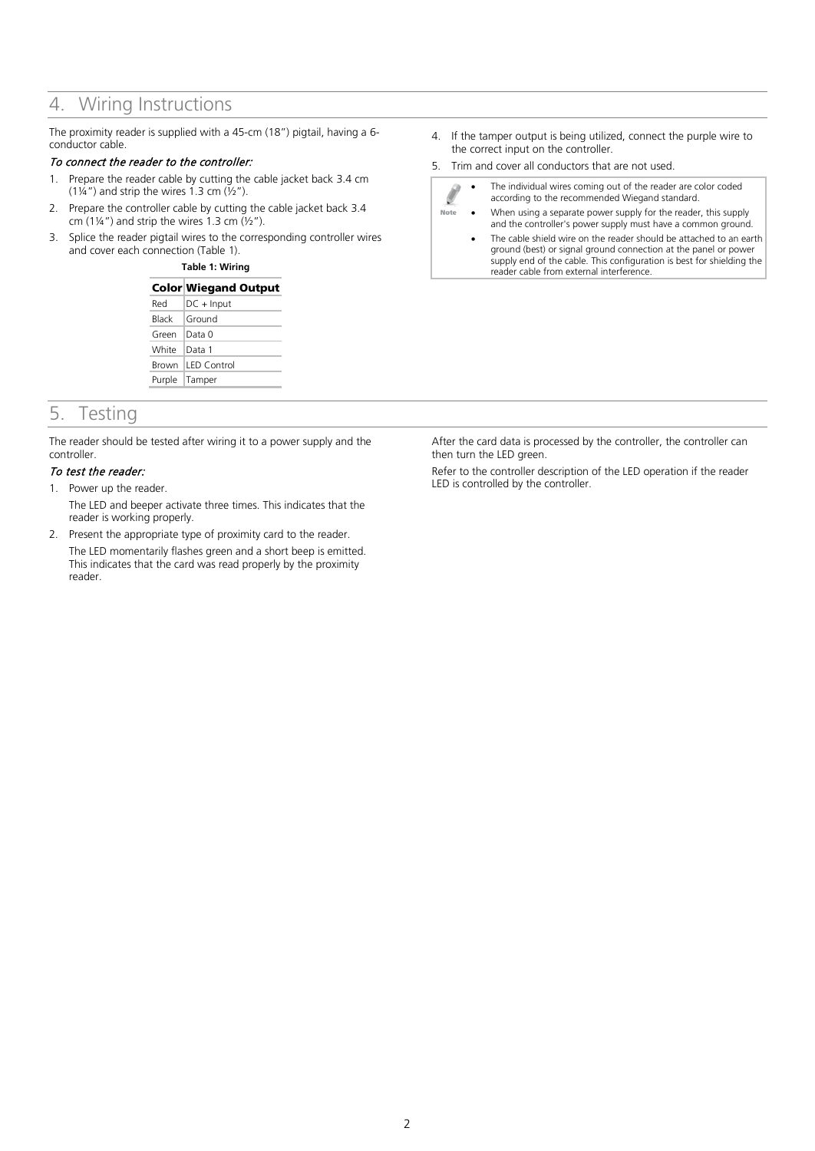## 4. Wiring Instructions

The proximity reader is supplied with a 45-cm (18") pigtail, having a 6 conductor cable.

### To connect the reader to the controller:

- 1. Prepare the reader cable by cutting the cable jacket back 3.4 cm (1¼") and strip the wires 1.3 cm  $(\frac{1}{2})$ .
- 2. Prepare the controller cable by cutting the cable jacket back 3.4 cm  $(1\frac{1}{4})$  and strip the wires 1.3 cm  $(\frac{1}{2})$ .
- <span id="page-1-0"></span>3. Splice the reader pigtail wires to the corresponding controller wires and cover each connection [\(Table 1\).](#page-1-0)

**Table 1: Wiring**

## Color Wiegand Output  $Red$  DC + Input Black Ground Green Data 0

| White Data 1 |                   |  |
|--------------|-------------------|--|
|              | Brown LED Control |  |
|              | Purple Tamper     |  |

## 5. Testing

The reader should be tested after wiring it to a power supply and the controller.

#### To test the reader:

1. Power up the reader.

The LED and beeper activate three times. This indicates that the reader is working properly.

2. Present the appropriate type of proximity card to the reader. The LED momentarily flashes green and a short beep is emitted. This indicates that the card was read properly by the proximity reader.

- 4. If the tamper output is being utilized, connect the purple wire to the correct input on the controller.
- 5. Trim and cover all conductors that are not used.

Note

- The individual wires coming out of the reader are color coded
	- according to the recommended Wiegand standard.
	- When using a separate power supply for the reader, this supply and the controller's power supply must have a common ground.
	- The cable shield wire on the reader should be attached to an earth ground (best) or signal ground connection at the panel or power supply end of the cable. This configuration is best for shielding the reader cable from external interference.

After the card data is processed by the controller, the controller can then turn the LED green.

Refer to the controller description of the LED operation if the reader LED is controlled by the controller.